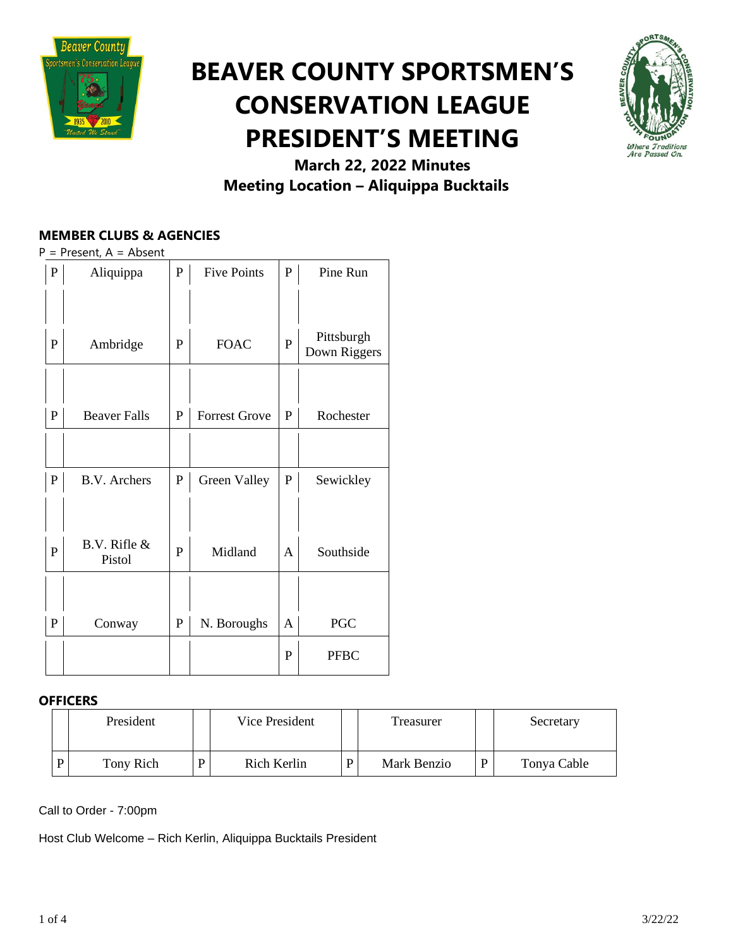

## **BEAVER COUNTY SPORTSMEN'S CONSERVATION LEAGUE PRESIDENT'S MEETING**



### **March 22, 2022 Minutes Meeting Location – Aliquippa Bucktails**

#### **MEMBER CLUBS & AGENCIES**

 $P =$  Present,  $A =$  Absent

| ${\bf P}$    | Aliquippa                  | $\mathbf P$ | <b>Five Points</b>   | $\mathbf P$ | Pine Run                   |
|--------------|----------------------------|-------------|----------------------|-------------|----------------------------|
| P            | Ambridge                   | P           | <b>FOAC</b>          | P           | Pittsburgh<br>Down Riggers |
|              |                            |             |                      |             |                            |
| $\mathbf P$  | <b>Beaver Falls</b>        | $\mathbf P$ | <b>Forrest Grove</b> | P           | Rochester                  |
| $\mathbf{P}$ | <b>B.V.</b> Archers        | $\mathbf P$ | Green Valley         | ${\bf P}$   | Sewickley                  |
|              |                            |             |                      |             |                            |
| ${\bf P}$    | $B.V.$ Rifle $&$<br>Pistol | P           | Midland              | A           | Southside                  |
| P            | Conway                     | $\mathbf P$ | N. Boroughs          | A           | <b>PGC</b>                 |
|              |                            |             |                      | P           | <b>PFBC</b>                |

#### **OFFICERS**

| President | Vice President |             | Treasurer |             | Secretary   |  |
|-----------|----------------|-------------|-----------|-------------|-------------|--|
| Tony Rich | D              | Rich Kerlin | D         | Mark Benzio | Tonya Cable |  |

Call to Order - 7:00pm

Host Club Welcome – Rich Kerlin, Aliquippa Bucktails President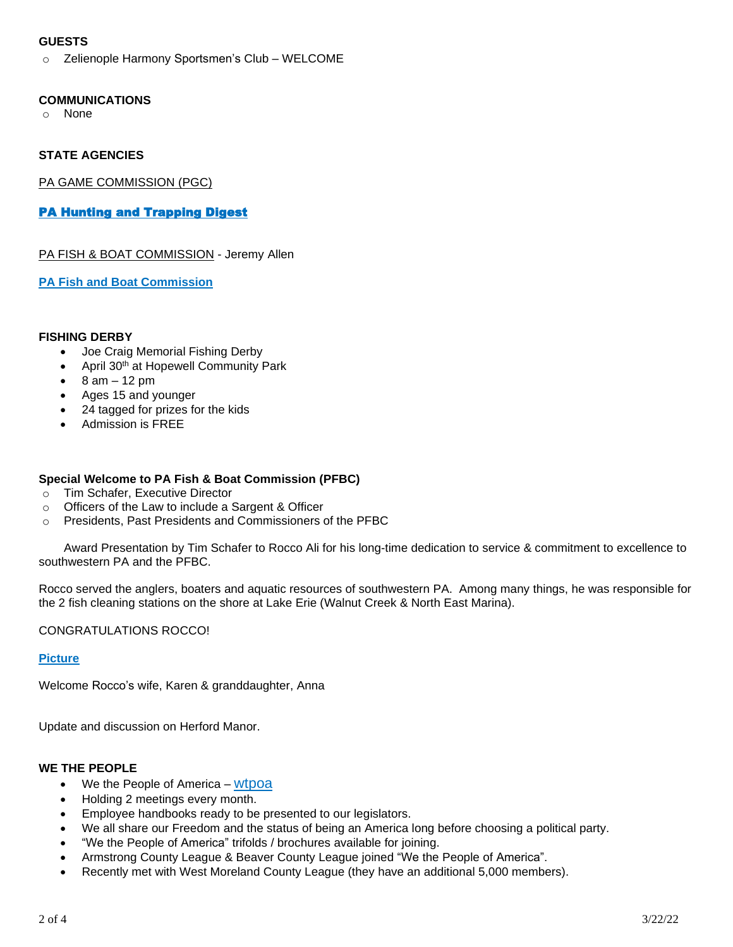#### **GUESTS**

o Zelienople Harmony Sportsmen's Club – WELCOME

#### **COMMUNICATIONS**

o None

#### **STATE AGENCIES**

PA GAME COMMISSION (PGC)

#### [PA Hunting and Trapping Digest](http://read.nxtbook.com/pgc/huntingtrapping/20212022/cover.html)

PA FISH & BOAT COMMISSION - Jeremy Allen

**PA Fish and Boat [Commission](https://www.fishandboat.com/Fish/FishingLicense/Pages/BuyAFishingLicense.aspx)**

#### **FISHING DERBY**

- Joe Craig Memorial Fishing Derby
- April 30th at Hopewell Community Park
- $\bullet$  8 am 12 pm
- Ages 15 and younger
- 24 tagged for prizes for the kids
- Admission is FREE

#### **Special Welcome to PA Fish & Boat Commission (PFBC)**

- o Tim Schafer, Executive Director
- o Officers of the Law to include a Sargent & Officer
- o Presidents, Past Presidents and Commissioners of the PFBC

Award Presentation by Tim Schafer to Rocco Ali for his long-time dedication to service & commitment to excellence to southwestern PA and the PFBC.

Rocco served the anglers, boaters and aquatic resources of southwestern PA. Among many things, he was responsible for the 2 fish cleaning stations on the shore at Lake Erie (Walnut Creek & North East Marina).

#### CONGRATULATIONS ROCCO!

#### **[Picture](https://drive.google.com/file/d/1qlDJ5rLQGXbH3ZI3nd-61wdFpUTwFh5Z/view?usp=sharing)**

Welcome Rocco's wife, Karen & granddaughter, Anna

Update and discussion on Herford Manor.

#### **WE THE PEOPLE**

- We the People of America [wtpoa](https://www.wtpoa.net/)
- Holding 2 meetings every month.
- Employee handbooks ready to be presented to our legislators.
- We all share our Freedom and the status of being an America long before choosing a political party.
- "We the People of America" trifolds / brochures available for joining.
- Armstrong County League & Beaver County League joined "We the People of America".
- Recently met with West Moreland County League (they have an additional 5,000 members).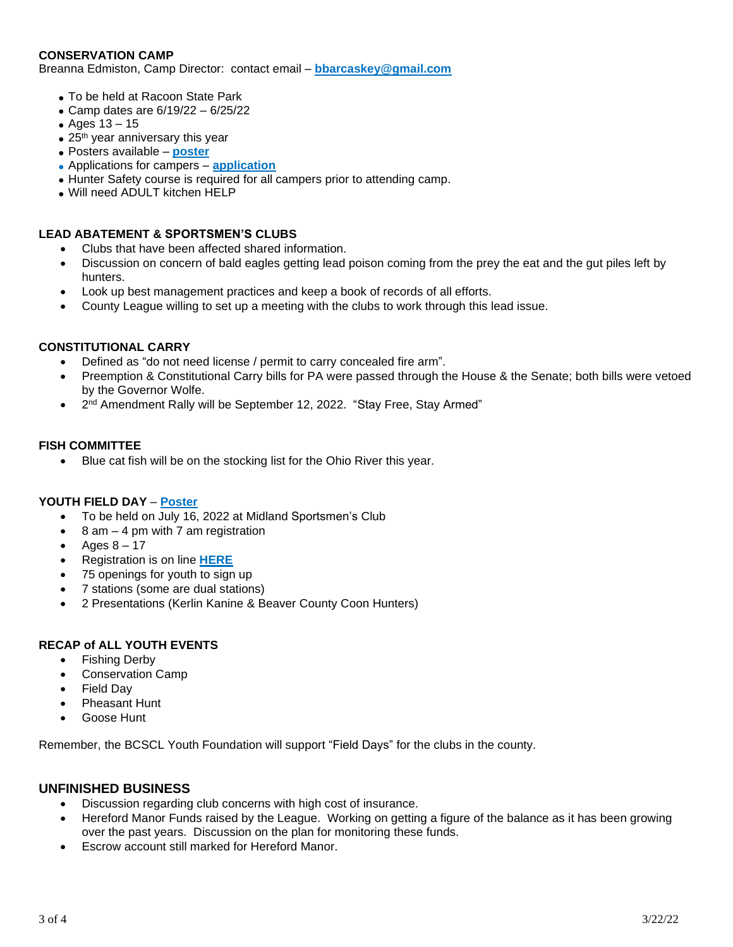#### **CONSERVATION CAMP**

Breanna Edmiston, Camp Director: contact email – **[bbarcaskey@gmail.com](mailto:bbarcaskey@gmail.com)**

- To be held at Racoon State Park
- Camp dates are  $6/19/22 6/25/22$
- Ages 13 15
- $\bullet$  25<sup>th</sup> year anniversary this year
- Posters available **[poster](https://drive.google.com/file/d/1zXPeS1QnPZRPfEdMskKGbyvHqKitqw13/view?usp=sharing)**
- Applications for campers **[application](https://drive.google.com/file/d/1pPGcZODJrtdfZWKA-a-ugRa0ViifIT0l/view?usp=sharing)**
- Hunter Safety course is required for all campers prior to attending camp.
- Will need ADULT kitchen HELP

#### **LEAD ABATEMENT & SPORTSMEN'S CLUBS**

- Clubs that have been affected shared information.
- Discussion on concern of bald eagles getting lead poison coming from the prey the eat and the gut piles left by hunters.
- Look up best management practices and keep a book of records of all efforts.
- County League willing to set up a meeting with the clubs to work through this lead issue.

#### **CONSTITUTIONAL CARRY**

- Defined as "do not need license / permit to carry concealed fire arm".
- Preemption & Constitutional Carry bills for PA were passed through the House & the Senate; both bills were vetoed by the Governor Wolfe.
- 2<sup>nd</sup> Amendment Rally will be September 12, 2022. "Stay Free, Stay Armed"

#### **FISH COMMITTEE**

• Blue cat fish will be on the stocking list for the Ohio River this year.

#### **YOUTH FIELD DAY** – **[Poster](https://drive.google.com/file/d/1i0n4afOanIeXPaD2e_D2duhibIyNpWww/view?usp=sharing)**

- To be held on July 16, 2022 at Midland Sportsmen's Club
- $\bullet$  8 am  $-$  4 pm with 7 am registration
- Ages  $8 17$
- Registration is on line **[HERE](https://www.register-ed.com/events/view/178825)**
- 75 openings for youth to sign up
- 7 stations (some are dual stations)
- 2 Presentations (Kerlin Kanine & Beaver County Coon Hunters)

#### **RECAP of ALL YOUTH EVENTS**

- Fishing Derby
- Conservation Camp
- **Field Dav**
- Pheasant Hunt
- Goose Hunt

Remember, the BCSCL Youth Foundation will support "Field Days" for the clubs in the county.

#### **UNFINISHED BUSINESS**

- Discussion regarding club concerns with high cost of insurance.
- Hereford Manor Funds raised by the League. Working on getting a figure of the balance as it has been growing over the past years. Discussion on the plan for monitoring these funds.
- Escrow account still marked for Hereford Manor.